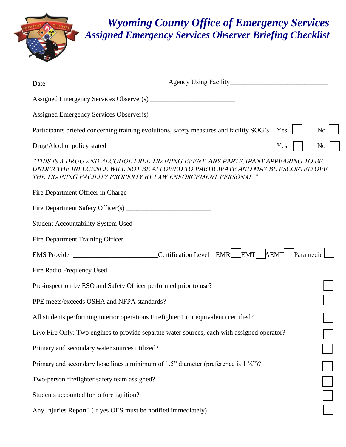## *Wyoming County Office of Emergency Services Assigned Emergency Services Observer Briefing Checklist*

| Date                                                                                                                                                                                                                               |  |
|------------------------------------------------------------------------------------------------------------------------------------------------------------------------------------------------------------------------------------|--|
|                                                                                                                                                                                                                                    |  |
|                                                                                                                                                                                                                                    |  |
| Participants briefed concerning training evolutions, safety measures and facility SOG's<br>Yes<br>No                                                                                                                               |  |
| Drug/Alcohol policy stated<br>Yes<br>N <sub>o</sub>                                                                                                                                                                                |  |
| "THIS IS A DRUG AND ALCOHOL FREE TRAINING EVENT, ANY PARTICIPANT APPEARING TO BE<br>UNDER THE INFLUENCE WILL NOT BE ALLOWED TO PARTICIPATE AND MAY BE ESCORTED OFF<br>THE TRAINING FACILITY PROPERTY BY LAW ENFORCEMENT PERSONAL." |  |
|                                                                                                                                                                                                                                    |  |
|                                                                                                                                                                                                                                    |  |
|                                                                                                                                                                                                                                    |  |
|                                                                                                                                                                                                                                    |  |
| EMS Provider ___________________________Certification Level EMR EMT AEMT Paramedic                                                                                                                                                 |  |
|                                                                                                                                                                                                                                    |  |
| Pre-inspection by ESO and Safety Officer performed prior to use?                                                                                                                                                                   |  |
| PPE meets/exceeds OSHA and NFPA standards?                                                                                                                                                                                         |  |
| All students performing interior operations Firefighter 1 (or equivalent) certified?                                                                                                                                               |  |
| Live Fire Only: Two engines to provide separate water sources, each with assigned operator?                                                                                                                                        |  |
| Primary and secondary water sources utilized?                                                                                                                                                                                      |  |
| Primary and secondary hose lines a minimum of 1.5" diameter (preference is $1\frac{3}{4}$ ")?                                                                                                                                      |  |
| Two-person firefighter safety team assigned?                                                                                                                                                                                       |  |
| Students accounted for before ignition?                                                                                                                                                                                            |  |
| Any Injuries Report? (If yes OES must be notified immediately)                                                                                                                                                                     |  |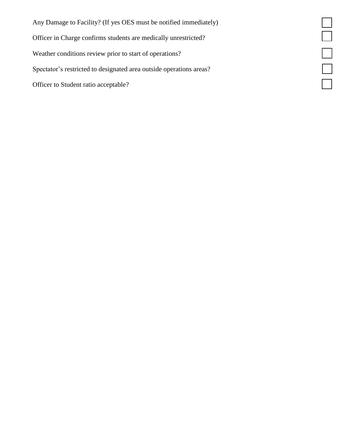Any Damage to Facility? (If yes OES must be notified immediately) Officer in Charge confirms students are medically unrestricted? Weather conditions review prior to start of operations? Spectator's restricted to designated area outside operations areas? Officer to Student ratio acceptable?